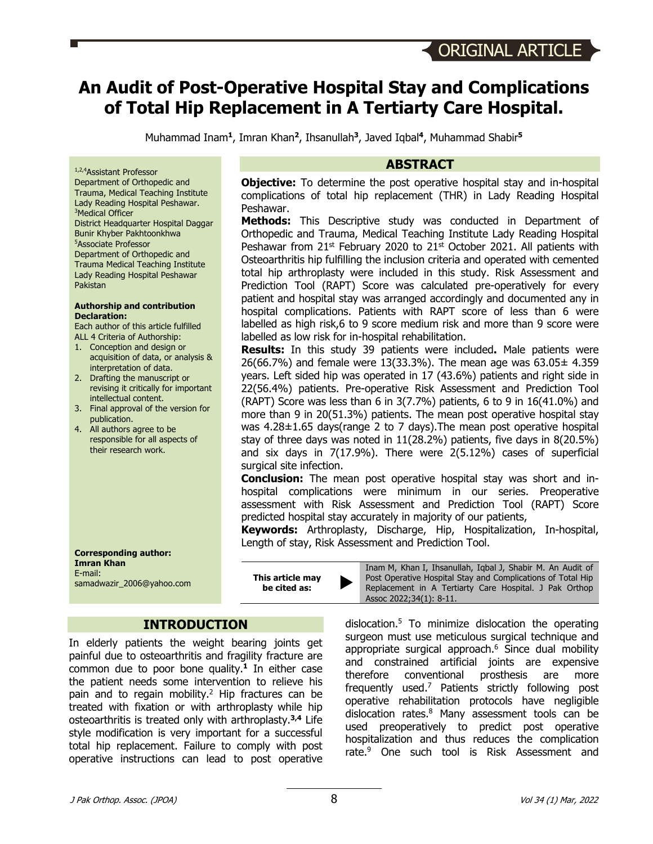# **An Audit of Post-Operative Hospital Stay and Complications of Total Hip Replacement in A Tertiarty Care Hospital.**

Muhammad Inam**<sup>1</sup>**, Imran Khan**<sup>2</sup>**, Ihsanullah**<sup>3</sup>**, Javed Iqbal**<sup>4</sup>**, Muhammad Shabir**<sup>5</sup>**

#### 1,2,4 Assistant Professor

Department of Orthopedic and Trauma, Medical Teaching Institute Lady Reading Hospital Peshawar. 3 Medical Officer District Headquarter Hospital Daggar Bunir Khyber Pakhtoonkhwa 5 Associate Professor Department of Orthopedic and Trauma Medical Teaching Institute Lady Reading Hospital Peshawar Pakistan

#### **Authorship and contribution Declaration:**

Each author of this article fulfilled ALL 4 Criteria of Authorship:

- 1. Conception and design or acquisition of data, or analysis & interpretation of data.
- 2. Drafting the manuscript or revising it critically for important intellectual content.
- 3. Final approval of the version for publication.
- 4. All authors agree to be responsible for all aspects of their research work.

**Corresponding author: Imran Khan** E-mail: samadwazir\_2006@yahoo.com

**This article may be cited as:** 

# **INTRODUCTION**

In elderly patients the weight bearing joints get painful due to osteoarthritis and fragility fracture are common due to poor bone quality. **<sup>1</sup>** In either case the patient needs some intervention to relieve his pain and to regain mobility. <sup>2</sup> Hip fractures can be treated with fixation or with arthroplasty while hip osteoarthritis is treated only with arthroplasty.**3,4** Life style modification is very important for a successful total hip replacement. Failure to comply with post operative instructions can lead to post operative

#### **ABSTRACT**

**Objective:** To determine the post operative hospital stay and in-hospital complications of total hip replacement (THR) in Lady Reading Hospital Peshawar.

**Methods:** This Descriptive study was conducted in Department of Orthopedic and Trauma, Medical Teaching Institute Lady Reading Hospital Peshawar from  $21^{st}$  February 2020 to  $21^{st}$  October 2021. All patients with Osteoarthritis hip fulfilling the inclusion criteria and operated with cemented total hip arthroplasty were included in this study. Risk Assessment and Prediction Tool (RAPT) Score was calculated pre-operatively for every patient and hospital stay was arranged accordingly and documented any in hospital complications. Patients with RAPT score of less than 6 were labelled as high risk,6 to 9 score medium risk and more than 9 score were labelled as low risk for in-hospital rehabilitation.

**Results:** In this study 39 patients were included**.** Male patients were 26(66.7%) and female were 13(33.3%). The mean age was  $63.05 \pm 4.359$ years. Left sided hip was operated in 17 (43.6%) patients and right side in 22(56.4%) patients. Pre-operative Risk Assessment and Prediction Tool (RAPT) Score was less than 6 in  $3(7.7%)$  patients, 6 to 9 in  $16(41.0%)$  and more than 9 in 20(51.3%) patients. The mean post operative hospital stay was 4.28±1.65 days(range 2 to 7 days).The mean post operative hospital stay of three days was noted in 11(28.2%) patients, five days in 8(20.5%) and six days in 7(17.9%). There were 2(5.12%) cases of superficial surgical site infection.

**Conclusion:** The mean post operative hospital stay was short and inhospital complications were minimum in our series. Preoperative assessment with Risk Assessment and Prediction Tool (RAPT) Score predicted hospital stay accurately in majority of our patients,

**Keywords:** Arthroplasty, Discharge, Hip, Hospitalization, In-hospital, Length of stay, Risk Assessment and Prediction Tool.

> Inam M, Khan I, Ihsanullah, Iqbal J, Shabir M. An Audit of Post Operative Hospital Stay and Complications of Total Hip Replacement in A Tertiarty Care Hospital. J Pak Orthop Assoc 2022;34(1): 8-11.

dislocation. <sup>5</sup> To minimize dislocation the operating surgeon must use meticulous surgical technique and appropriate surgical approach. <sup>6</sup> Since dual mobility and constrained artificial joints are expensive therefore conventional prosthesis are more frequently used. <sup>7</sup> Patients strictly following post operative rehabilitation protocols have negligible dislocation rates. <sup>8</sup> Many assessment tools can be used preoperatively to predict post operative hospitalization and thus reduces the complication rate.<sup>9</sup> One such tool is Risk Assessment and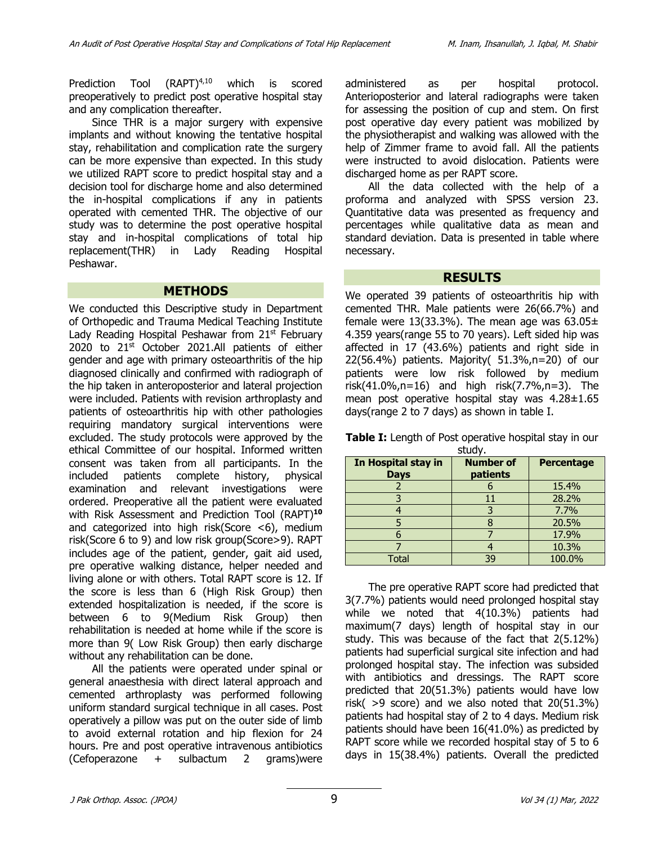Prediction Tool (RAPT)<sup>4,10</sup> which is scored preoperatively to predict post operative hospital stay and any complication thereafter.

Since THR is a major surgery with expensive implants and without knowing the tentative hospital stay, rehabilitation and complication rate the surgery can be more expensive than expected. In this study we utilized RAPT score to predict hospital stay and a decision tool for discharge home and also determined the in-hospital complications if any in patients operated with cemented THR. The objective of our study was to determine the post operative hospital stay and in-hospital complications of total hip replacement(THR) in Lady Reading Hospital Peshawar.

#### **METHODS**

We conducted this Descriptive study in Department of Orthopedic and Trauma Medical Teaching Institute Lady Reading Hospital Peshawar from  $21<sup>st</sup>$  February 2020 to  $21^{st}$  October 2021.All patients of either gender and age with primary osteoarthritis of the hip diagnosed clinically and confirmed with radiograph of the hip taken in anteroposterior and lateral projection were included. Patients with revision arthroplasty and patients of osteoarthritis hip with other pathologies requiring mandatory surgical interventions were excluded. The study protocols were approved by the ethical Committee of our hospital. Informed written consent was taken from all participants. In the included patients complete history, physical examination and relevant investigations were ordered. Preoperative all the patient were evaluated with Risk Assessment and Prediction Tool (RAPT)**<sup>10</sup>** and categorized into high risk(Score <6), medium risk(Score 6 to 9) and low risk group(Score>9). RAPT includes age of the patient, gender, gait aid used, pre operative walking distance, helper needed and living alone or with others. Total RAPT score is 12. If the score is less than 6 (High Risk Group) then extended hospitalization is needed, if the score is between 6 to 9(Medium Risk Group) then rehabilitation is needed at home while if the score is more than 9( Low Risk Group) then early discharge without any rehabilitation can be done.

All the patients were operated under spinal or general anaesthesia with direct lateral approach and cemented arthroplasty was performed following uniform standard surgical technique in all cases. Post operatively a pillow was put on the outer side of limb to avoid external rotation and hip flexion for 24 hours. Pre and post operative intravenous antibiotics (Cefoperazone + sulbactum 2 grams)were administered as per hospital protocol. Anterioposterior and lateral radiographs were taken for assessing the position of cup and stem. On first post operative day every patient was mobilized by the physiotherapist and walking was allowed with the help of Zimmer frame to avoid fall. All the patients were instructed to avoid dislocation. Patients were discharged home as per RAPT score.

All the data collected with the help of a proforma and analyzed with SPSS version 23. Quantitative data was presented as frequency and percentages while qualitative data as mean and standard deviation. Data is presented in table where necessary.

#### **RESULTS**

We operated 39 patients of osteoarthritis hip with cemented THR. Male patients were 26(66.7%) and female were 13(33.3%). The mean age was  $63.05\pm$ 4.359 years(range 55 to 70 years). Left sided hip was affected in 17 (43.6%) patients and right side in 22(56.4%) patients. Majority( 51.3%,n=20) of our patients were low risk followed by medium risk(41.0%,n=16) and high risk(7.7%,n=3). The mean post operative hospital stay was 4.28±1.65 days(range 2 to 7 days) as shown in table I.

**Table I:** Length of Post operative hospital stay in our

| study.                             |                              |                   |
|------------------------------------|------------------------------|-------------------|
| In Hospital stay in<br><b>Days</b> | <b>Number of</b><br>patients | <b>Percentage</b> |
|                                    |                              | 15.4%             |
|                                    |                              | 28.2%             |
|                                    |                              | 7.7%              |
|                                    |                              | 20.5%             |
|                                    |                              | 17.9%             |
|                                    |                              | 10.3%             |
| Total                              | 30                           | 100.0%            |

The pre operative RAPT score had predicted that 3(7.7%) patients would need prolonged hospital stay while we noted that 4(10.3%) patients had maximum(7 days) length of hospital stay in our study. This was because of the fact that 2(5.12%) patients had superficial surgical site infection and had prolonged hospital stay. The infection was subsided with antibiotics and dressings. The RAPT score predicted that 20(51.3%) patients would have low risk( $>9$  score) and we also noted that  $20(51.3%)$ patients had hospital stay of 2 to 4 days. Medium risk patients should have been 16(41.0%) as predicted by RAPT score while we recorded hospital stay of 5 to 6 days in 15(38.4%) patients. Overall the predicted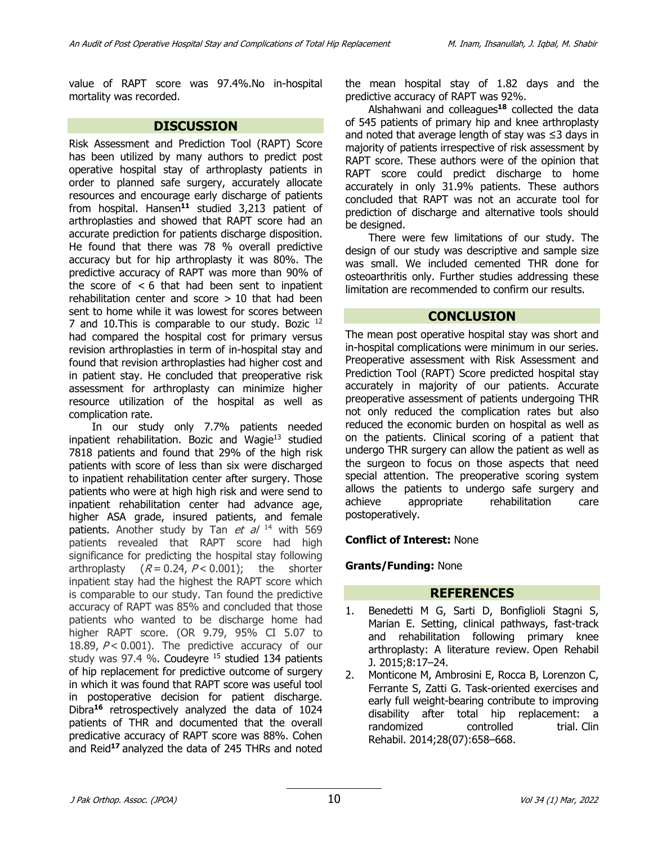value of RAPT score was 97.4%.No in-hospital mortality was recorded.

#### **DISCUSSION**

Risk Assessment and Prediction Tool (RAPT) Score has been utilized by many authors to predict post operative hospital stay of arthroplasty patients in order to planned safe surgery, accurately allocate resources and encourage early discharge of patients from hospital. Hansen**<sup>11</sup>** studied 3,213 patient of arthroplasties and showed that RAPT score had an accurate prediction for patients discharge disposition. He found that there was 78 % overall predictive accuracy but for hip arthroplasty it was 80%. The predictive accuracy of RAPT was more than 90% of the score of  $< 6$  that had been sent to inpatient rehabilitation center and score  $> 10$  that had been sent to home while it was lowest for scores between 7 and 10. This is comparable to our study. Bozic <sup>12</sup> had compared the hospital cost for primary versus revision arthroplasties in term of in-hospital stay and found that revision arthroplasties had higher cost and in patient stay. He concluded that preoperative risk assessment for arthroplasty can minimize higher resource utilization of the hospital as well as complication rate.

In our study only 7.7% patients needed inpatient rehabilitation. Bozic and Wagie $13$  studied 7818 patients and found that 29% of the high risk patients with score of less than six were discharged to inpatient rehabilitation center after surgery. Those patients who were at high high risk and were send to inpatient rehabilitation center had advance age, higher ASA grade, insured patients, and female patients. Another study by Tan  $et$  al  $14$  with 569 patients revealed that RAPT score had high significance for predicting the hospital stay following arthroplasty  $(R = 0.24, P < 0.001)$ ; the shorter inpatient stay had the highest the RAPT score which is comparable to our study. Tan found the predictive accuracy of RAPT was 85% and concluded that those patients who wanted to be discharge home had higher RAPT score. (OR 9.79, 95% CI 5.07 to 18.89,  $P < 0.001$ ). The predictive accuracy of our study was 97.4 %. Coudeyre  $15$  studied 134 patients of hip replacement for predictive outcome of surgery in which it was found that RAPT score was useful tool in postoperative decision for patient discharge. Dibra**<sup>16</sup>** retrospectively analyzed the data of 1024 patients of THR and documented that the overall predicative accuracy of RAPT score was 88%. Cohen and Reid**<sup>17</sup>** analyzed the data of 245 THRs and noted

the mean hospital stay of 1.82 days and the predictive accuracy of RAPT was 92%.

Alshahwani and colleagues**<sup>18</sup>** collected the data of 545 patients of primary hip and knee arthroplasty and noted that average length of stay was ≤3 days in majority of patients irrespective of risk assessment by RAPT score. These authors were of the opinion that RAPT score could predict discharge to home accurately in only 31.9% patients. These authors concluded that RAPT was not an accurate tool for prediction of discharge and alternative tools should be designed.

There were few limitations of our study. The design of our study was descriptive and sample size was small. We included cemented THR done for osteoarthritis only. Further studies addressing these limitation are recommended to confirm our results.

# **CONCLUSION**

The mean post operative hospital stay was short and in-hospital complications were minimum in our series. Preoperative assessment with Risk Assessment and Prediction Tool (RAPT) Score predicted hospital stay accurately in majority of our patients. Accurate preoperative assessment of patients undergoing THR not only reduced the complication rates but also reduced the economic burden on hospital as well as on the patients. Clinical scoring of a patient that undergo THR surgery can allow the patient as well as the surgeon to focus on those aspects that need special attention. The preoperative scoring system allows the patients to undergo safe surgery and achieve appropriate rehabilitation care postoperatively.

## **Conflict of Interest:** None

## **Grants/Funding:** None

## **REFERENCES**

- 1. Benedetti M G, Sarti D, Bonfiglioli Stagni S, Marian E. Setting, clinical pathways, fast-track and rehabilitation following primary knee arthroplasty: A literature review. Open Rehabil J. 2015;8:17–24.
- 2. Monticone M, Ambrosini E, Rocca B, Lorenzon C, Ferrante S, Zatti G. Task-oriented exercises and early full weight-bearing contribute to improving disability after total hip replacement: a randomized controlled trial. Clin Rehabil. 2014;28(07):658–668.